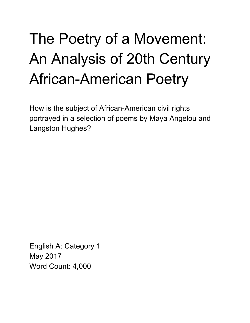# The Poetry of a Movement: An Analysis of 20th Century African-American Poetry

How is the subject of African-American civil rights portrayed in a selection of poems by Maya Angelou and Langston Hughes?

English A: Category 1 May 2017 Word Count: 4,000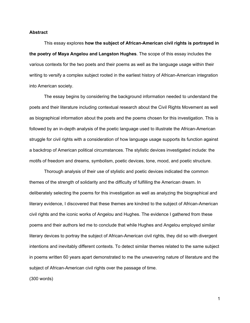#### **Abstract**

This essay explores **how the subject of AfricanAmerican civil rights is portrayed in the poetry of Maya Angelou and Langston Hughes**. The scope of this essay includes the various contexts for the two poets and their poems as well as the language usage within their writing to versify a complex subject rooted in the earliest history of African-American integration into American society.

The essay begins by considering the background information needed to understand the poets and their literature including contextual research about the Civil Rights Movement as well as biographical information about the poets and the poems chosen for this investigation. This is followed by an in-depth analysis of the poetic language used to illustrate the African-American struggle for civil rights with a consideration of how language usage supports its function against a backdrop of American political circumstances. The stylistic devices investigated include: the motifs of freedom and dreams, symbolism, poetic devices, tone, mood, and poetic structure.

Thorough analysis of their use of stylistic and poetic devices indicated the common themes of the strength of solidarity and the difficulty of fulfilling the American dream. In deliberately selecting the poems for this investigation as well as analyzing the biographical and literary evidence, I discovered that these themes are kindred to the subject of African-American civil rights and the iconic works of Angelou and Hughes. The evidence I gathered from these poems and their authors led me to conclude that while Hughes and Angelou employed similar literary devices to portray the subject of African-American civil rights, they did so with divergent intentions and inevitably different contexts. To detect similar themes related to the same subject in poems written 60 years apart demonstrated to me the unwavering nature of literature and the subject of African-American civil rights over the passage of time.

(300 words)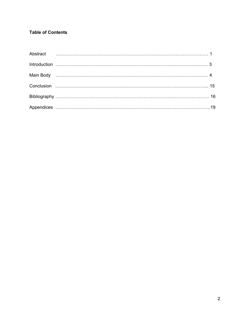# **Table of Contents**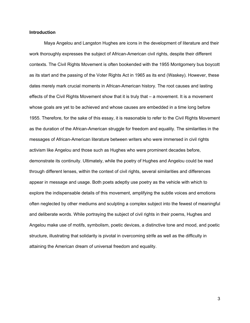#### **Introduction**

Maya Angelou and Langston Hughes are icons in the development of literature and their work thoroughly expresses the subject of African-American civil rights, despite their different contexts. The Civil Rights Movement is often bookended with the 1955 Montgomery bus boycott as its start and the passing of the Voter Rights Act in 1965 as its end (Waskey). However, these dates merely mark crucial moments in African-American history. The root causes and lasting effects of the Civil Rights Movement show that it is truly that – a movement. It is a movement whose goals are yet to be achieved and whose causes are embedded in a time long before 1955. Therefore, for the sake of this essay, it is reasonable to refer to the Civil Rights Movement as the duration of the African-American struggle for freedom and equality. The similarities in the messages of African-American literature between writers who were immersed in civil rights activism like Angelou and those such as Hughes who were prominent decades before, demonstrate its continuity. Ultimately, while the poetry of Hughes and Angelou could be read through different lenses, within the context of civil rights, several similarities and differences appear in message and usage. Both poets adeptly use poetry as the vehicle with which to explore the indispensable details of this movement, amplifying the subtle voices and emotions often neglected by other mediums and sculpting a complex subject into the fewest of meaningful and deliberate words. While portraying the subject of civil rights in their poems, Hughes and Angelou make use of motifs, symbolism, poetic devices, a distinctive tone and mood, and poetic structure, illustrating that solidarity is pivotal in overcoming strife as well as the difficulty in attaining the American dream of universal freedom and equality.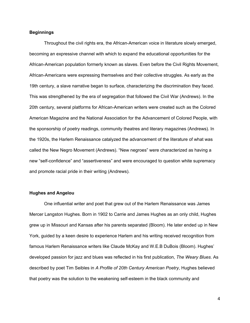#### **Beginnings**

Throughout the civil rights era, the African-American voice in literature slowly emerged, becoming an expressive channel with which to expand the educational opportunities for the African-American population formerly known as slaves. Even before the Civil Rights Movement, AfricanAmericans were expressing themselves and their collective struggles. As early as the 19th century, a slave narrative began to surface, characterizing the discrimination they faced. This was strengthened by the era of segregation that followed the Civil War (Andrews). In the 20th century, several platforms for African-American writers were created such as the Colored American Magazine and the National Association for the Advancement of Colored People, with the sponsorship of poetry readings, community theatres and literary magazines (Andrews). In the 1920s, the Harlem Renaissance catalyzed the advancement of the literature of what was called the New Negro Movement (Andrews). "New negroes" were characterized as having a new "self-confidence" and "assertiveness" and were encouraged to question white supremacy and promote racial pride in their writing (Andrews).

### **Hughes and Angelou**

One influential writer and poet that grew out of the Harlem Renaissance was James Mercer Langston Hughes. Born in 1902 to Carrie and James Hughes as an only child, Hughes grew up in Missouri and Kansas after his parents separated (Bloom). He later ended up in New York, guided by a keen desire to experience Harlem and his writing received recognition from famous Harlem Renaissance writers like Claude McKay and W.E.B DuBois (Bloom). Hughes' developed passion for jazz and blues was reflected in his first publication, *The Weary Blues*. As described by poet Tim Seibles in *A Profile of 20th Century American Poetry*, Hughes believed that poetry was the solution to the weakening self-esteem in the black community and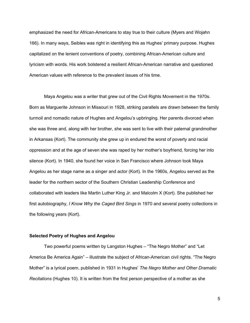emphasized the need for African-Americans to stay true to their culture (Myers and Wojahn 166). In many ways, Seibles was right in identifying this as Hughes' primary purpose. Hughes capitalized on the lenient conventions of poetry, combining African-American culture and lyricism with words. His work bolstered a resilient African-American narrative and questioned American values with reference to the prevalent issues of his time.

Maya Angelou was a writer that grew out of the Civil Rights Movement in the 1970s. Born as Marguerite Johnson in Missouri in 1928, striking parallels are drawn between the family turmoil and nomadic nature of Hughes and Angelou's upbringing. Her parents divorced when she was three and, along with her brother, she was sent to live with their paternal grandmother in Arkansas (Kort). The community she grew up in endured the worst of poverty and racial oppression and at the age of seven she was raped by her mother's boyfriend, forcing her into silence (Kort). In 1940, she found her voice in San Francisco where Johnson took Maya Angelou as her stage name as a singer and actor (Kort). In the 1960s, Angelou served as the leader for the northern sector of the Southern Christian Leadership Conference and collaborated with leaders like Martin Luther King Jr. and Malcolm X (Kort). She published her first autobiography, *I Know Why the Caged Bird Sings* in 1970 and several poetry collections in the following years (Kort).

#### **Selected Poetry of Hughes and Angelou**

Two powerful poems written by Langston Hughes – "The Negro Mother" and "Let America Be America Again" – illustrate the subject of African-American civil rights. "The Negro Mother" is a lyrical poem, published in 1931 in Hughes' *The Negro Mother and Other Dramatic Recitations* (Hughes 10). It is written from the first person perspective of a mother as she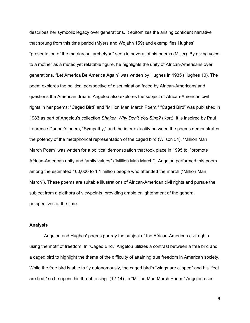describes her symbolic legacy over generations. It epitomizes the arising confident narrative that sprung from this time period (Myers and Wojahn 159) and exemplifies Hughes' "presentation of the matriarchal archetype" seen in several of his poems (Miller). By giving voice to a mother as a muted yet relatable figure, he highlights the unity of African-Americans over generations. "Let America Be America Again" was written by Hughes in 1935 (Hughes 10). The poem explores the political perspective of discrimination faced by African-Americans and questions the American dream. Angelou also explores the subject of African-American civil rights in her poems: "Caged Bird" and "Million Man March Poem*.*" "Caged Bird" was published in 1983 as part of Angelou's collection *Shaker, Why Don't You Sing?* (Kort). It is inspired by Paul Laurence Dunbar's poem, "Sympathy," and the intertextuality between the poems demonstrates the potency of the metaphorical representation of the caged bird (Wilson 34). "Million Man March Poem" was written for a political demonstration that took place in 1995 to, "promote African-American unity and family values" ("Million Man March"). Angelou performed this poem among the estimated 400,000 to 1.1 million people who attended the march ("Million Man March"). These poems are suitable illustrations of African-American civil rights and pursue the subject from a plethora of viewpoints, providing ample enlightenment of the general perspectives at the time.

#### **Analysis**

Angelou and Hughes' poems portray the subject of the African-American civil rights using the motif of freedom. In "Caged Bird," Angelou utilizes a contrast between a free bird and a caged bird to highlight the theme of the difficulty of attaining true freedom in American society. While the free bird is able to fly autonomously, the caged bird's "wings are clipped" and his "feet are tied / so he opens his throat to sing" (12-14). In "Million Man March Poem," Angelou uses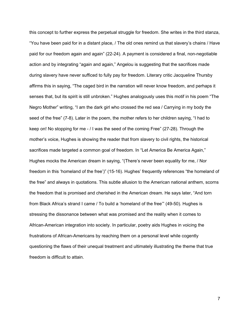this concept to further express the perpetual struggle for freedom. She writes in the third stanza, "You have been paid for in a distant place, / The old ones remind us that slavery's chains / Have paid for our freedom again and again" (22-24). A payment is considered a final, non-negotiable action and by integrating "again and again," Angelou is suggesting that the sacrifices made during slavery have never sufficed to fully pay for freedom. Literary critic Jacqueline Thursby affirms this in saying, "The caged bird in the narration will never know freedom, and perhaps it senses that, but its spirit is still unbroken." Hughes analogously uses this motif in his poem "The Negro Mother" writing, "I am the dark girl who crossed the red sea / Carrying in my body the seed of the free" (7-8). Later in the poem, the mother refers to her children saying, "I had to keep on! No stopping for me - / I was the seed of the coming Free" (27-28). Through the mother's voice, Hughes is showing the reader that from slavery to civil rights, the historical sacrifices made targeted a common goal of freedom. In "Let America Be America Again," Hughes mocks the American dream in saying, "(There's never been equality for me, / Nor freedom in this 'homeland of the free')" (1516). Hughes' frequently references "the homeland of the free" and always in quotations. This subtle allusion to the American national anthem, scorns the freedom that is promised and cherished in the American dream. He says later, "And torn from Black Africa's strand I came / To build a 'homeland of the free'" (4950). Hughes is stressing the dissonance between what was promised and the reality when it comes to African-American integration into society. In particular, poetry aids Hughes in voicing the frustrations of African-Americans by reaching them on a personal level while cogently questioning the flaws of their unequal treatment and ultimately illustrating the theme that true freedom is difficult to attain.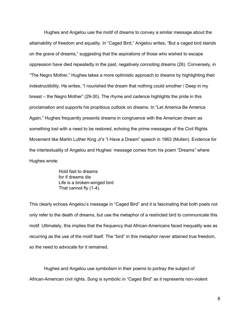Hughes and Angelou use the motif of dreams to convey a similar message about the attainability of freedom and equality. In "Caged Bird," Angelou writes, "But a caged bird stands on the grave of dreams," suggesting that the aspirations of those who wished to escape oppression have died repeatedly in the past, negatively connoting dreams (26). Conversely, in "The Negro Mother," Hughes takes a more optimistic approach to dreams by highlighting their indestructibility. He writes, "I nourished the dream that nothing could smother / Deep in my breast – the Negro Mother" (2930). The rhyme and cadence highlights the pride in this proclamation and supports his propitious outlook on dreams. In "Let America Be America Again," Hughes frequently presents dreams in congruence with the American dream as something lost with a need to be restored, echoing the prime messages of the Civil Rights Movement like Martin Luther King Jr's "I Have a Dream" speech in 1963 (Mullen). Evidence for the intertextuality of Angelou and Hughes' message comes from his poem "Dreams" where Hughes wrote:

> Hold fast to dreams for if dreams die Life is a broken-winged bird That cannot fly  $(1-4)$ .

This clearly echoes Angelou's message in "Caged Bird" and it is fascinating that both poets not only refer to the death of dreams, but use the metaphor of a restricted bird to communicate this motif. Ultimately, this implies that the frequency that African-Americans faced inequality was as recurring as the use of the motif itself. The "bird" in this metaphor never attained true freedom, so the need to advocate for it remained.

Hughes and Angelou use symbolism in their poems to portray the subject of African-American civil rights. Song is symbolic in "Caged Bird" as it represents non-violent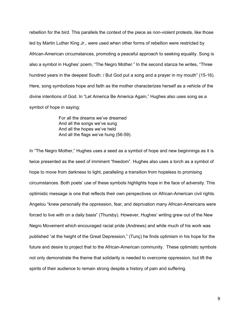rebellion for the bird. This parallels the context of the piece as non-violent protests, like those led by Martin Luther King Jr., were used when other forms of rebellion were restricted by African-American circumstances, promoting a peaceful approach to seeking equality. Song is also a symbol in Hughes' poem, "The Negro Mother." In the second stanza he writes, "Three hundred years in the deepest South: / But God put a song and a prayer in my mouth" (15-16). Here, song symbolizes hope and faith as the mother characterizes herself as a vehicle of the divine intentions of God. In "Let America Be America Again," Hughes also uses song as a symbol of hope in saying:

> For all the dreams we've dreamed And all the songs we've sung And all the hopes we've held And all the flags we've hung (56-59).

In "The Negro Mother," Hughes uses a seed as a symbol of hope and new beginnings as it is twice presented as the seed of imminent "freedom". Hughes also uses a torch as a symbol of hope to move from darkness to light, paralleling a transition from hopeless to promising circumstances. Both poets' use of these symbols highlights hope in the face of adversity. This optimistic message is one that reflects their own perspectives on African-American civil rights. Angelou "knew personally the oppression, fear, and deprivation many African-Americans were forced to live with on a daily basis" (Thursby). However, Hughes' writing grew out of the New Negro Movement which encouraged racial pride (Andrews) and while much of his work was published "at the height of the Great Depression," (Tunç) he finds optimism in his hope for the future and desire to project that to the African-American community. These optimistic symbols not only demonstrate the theme that solidarity is needed to overcome oppression, but lift the spirits of their audience to remain strong despite a history of pain and suffering.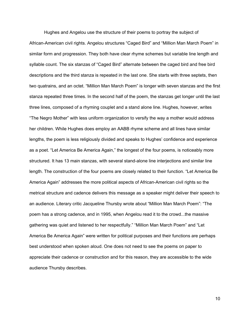Hughes and Angelou use the structure of their poems to portray the subject of African-American civil rights. Angelou structures "Caged Bird" and "Million Man March Poem" in similar form and progression. They both have clear rhyme schemes but variable line length and syllable count. The six stanzas of "Caged Bird" alternate between the caged bird and free bird descriptions and the third stanza is repeated in the last one. She starts with three septets, then two quatrains, and an octet. "Million Man March Poem" is longer with seven stanzas and the first stanza repeated three times. In the second half of the poem, the stanzas get longer until the last three lines, composed of a rhyming couplet and a stand alone line. Hughes, however, writes "The Negro Mother" with less uniform organization to versify the way a mother would address her children. While Hughes does employ an AABB rhyme scheme and all lines have similar lengths, the poem is less religiously divided and speaks to Hughes' confidence and experience as a poet. "Let America Be America Again," the longest of the four poems, is noticeably more structured. It has 13 main stanzas, with several stand-alone line interjections and similar line length. The construction of the four poems are closely related to their function. "Let America Be America Again" addresses the more political aspects of African-American civil rights so the metrical structure and cadence delivers this message as a speaker might deliver their speech to an audience. Literary critic Jacqueline Thursby wrote about "Million Man March Poem": "The poem has a strong cadence, and in 1995, when Angelou read it to the crowd...the massive gathering was quiet and listened to her respectfully." "Million Man March Poem" and "Let America Be America Again" were written for political purposes and their functions are perhaps best understood when spoken aloud. One does not need to see the poems on paper to appreciate their cadence or construction and for this reason, they are accessible to the wide audience Thursby describes.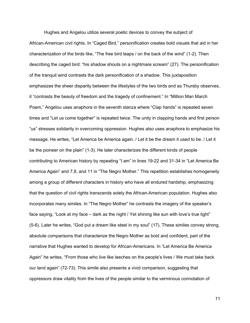Hughes and Angelou utilize several poetic devices to convey the subject of African-American civil rights. In "Caged Bird," personification creates bold visuals that aid in her characterization of the birds like, "The free bird leaps / on the back of the wind" (1-2). Then describing the caged bird: "his shadow shouts on a nightmare scream" (27). The personification of the tranquil wind contrasts the dark personification of a shadow. This juxtaposition emphasizes the sheer disparity between the lifestyles of the two birds and as Thursby observes, it "contrasts the beauty of freedom and the tragedy of confinement." In "Million Man March Poem," Angelou uses anaphora in the seventh stanza where "Clap hands" is repeated seven times and "Let us come together" is repeated twice. The unity in clapping hands and first person "us" stresses solidarity in overcoming oppression. Hughes also uses anaphora to emphasize his message. He writes, "Let America be America again. / Let it be the dream it used to be. / Let it be the pioneer on the plain" (1-3). He later characterizes the different kinds of people contributing to American history by repeating "I am" in lines 19-22 and 31-34 in "Let America Be America Again" and 7,9, and 11 in "The Negro Mother." This repetition establishes homogeneity among a group of different characters in history who have all endured hardship, emphasizing that the question of civil rights transcends solely the African-American population. Hughes also incorporates many similes. In "The Negro Mother" he contrasts the imagery of the speaker's face saying, "Look at my face – dark as the night / Yet shining like sun with love's true light" (56). Later he writes, "God put a dream like steel in my soul" (17). These similes convey strong, absolute comparisons that characterize the Negro Mother as bold and confident, part of the narrative that Hughes wanted to develop for African-Americans. In "Let America Be America Again" he writes, "From those who live like leeches on the people's lives / We must take back our land again" (7273). This simile also presents a vivid comparison, suggesting that oppressors draw vitality from the lives of the people similar to the verminous connotation of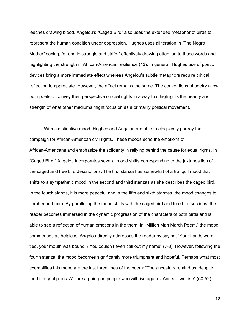leeches drawing blood. Angelou's "Caged Bird" also uses the extended metaphor of birds to represent the human condition under oppression. Hughes uses alliteration in "The Negro Mother" saying, "strong in struggle and strife," effectively drawing attention to those words and highlighting the strength in African-American resilience (43). In general, Hughes use of poetic devices bring a more immediate effect whereas Angelou's subtle metaphors require critical reflection to appreciate. However, the effect remains the same. The conventions of poetry allow both poets to convey their perspective on civil rights in a way that highlights the beauty and strength of what other mediums might focus on as a primarily political movement.

With a distinctive mood, Hughes and Angelou are able to eloquently portray the campaign for African-American civil rights. These moods echo the emotions of African-Americans and emphasize the solidarity in rallying behind the cause for equal rights. In "Caged Bird," Angelou incorporates several mood shifts corresponding to the juxtaposition of the caged and free bird descriptions. The first stanza has somewhat of a tranquil mood that shifts to a sympathetic mood in the second and third stanzas as she describes the caged bird. In the fourth stanza, it is more peaceful and in the fifth and sixth stanzas, the mood changes to somber and grim. By paralleling the mood shifts with the caged bird and free bird sections, the reader becomes immersed in the dynamic progression of the characters of both birds and is able to see a reflection of human emotions in the them. In "Million Man March Poem," the mood commences as helpless. Angelou directly addresses the reader by saying, "Your hands were tied, your mouth was bound, / You couldn't even call out my name" (7-8). However, following the fourth stanza, the mood becomes significantly more triumphant and hopeful. Perhaps what most exemplifies this mood are the last three lines of the poem: "The ancestors remind us, despite the history of pain / We are a going-on people who will rise again. / And still we rise" (50-52).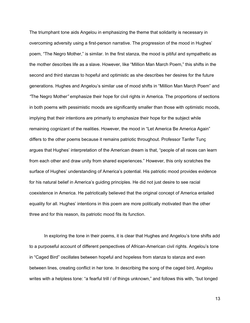The triumphant tone aids Angelou in emphasizing the theme that solidarity is necessary in overcoming adversity using a first-person narrative. The progression of the mood in Hughes' poem, "The Negro Mother," is similar. In the first stanza, the mood is pitiful and sympathetic as the mother describes life as a slave. However, like "Million Man March Poem," this shifts in the second and third stanzas to hopeful and optimistic as she describes her desires for the future generations. Hughes and Angelou's similar use of mood shifts in "Million Man March Poem" and *"*The Negro Mother*"* emphasize their hope for civil rights in America. The proportions of sections in both poems with pessimistic moods are significantly smaller than those with optimistic moods, implying that their intentions are primarily to emphasize their hope for the subject while remaining cognizant of the realities. However, the mood in "Let America Be America Again" differs to the other poems because it remains patriotic throughout. Professor Tanfer Tunç argues that Hughes' interpretation of the American dream is that, "people of all races can learn from each other and draw unity from shared experiences." However, this only scratches the surface of Hughes' understanding of America's potential. His patriotic mood provides evidence for his natural belief in America's guiding principles. He did not just desire to see racial coexistence in America. He patriotically believed that the original concept of America entailed equality for all. Hughes' intentions in this poem are more politically motivated than the other three and for this reason, its patriotic mood fits its function.

In exploring the tone in their poems, it is clear that Hughes and Angelou's tone shifts add to a purposeful account of different perspectives of African-American civil rights. Angelou's tone in "Caged Bird" oscillates between hopeful and hopeless from stanza to stanza and even between lines, creating conflict in her tone. In describing the song of the caged bird, Angelou writes with a helpless tone: "a fearful trill / of things unknown," and follows this with, "but longed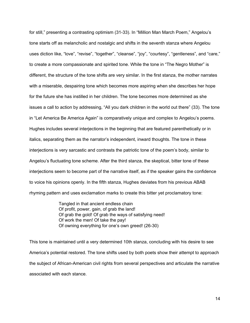for still," presenting a contrasting optimism (31-33). In "Million Man March Poem," Angelou's tone starts off as melancholic and nostalgic and shifts in the seventh stanza where Angelou uses diction like, "love", "revise", "together", "cleanse", "joy", "courtesy", "gentleness", and "care," to create a more compassionate and spirited tone. While the tone in "The Negro Mother" is different, the structure of the tone shifts are very similar. In the first stanza, the mother narrates with a miserable, despairing tone which becomes more aspiring when she describes her hope for the future she has instilled in her children. The tone becomes more determined as she issues a call to action by addressing, "All you dark children in the world out there" (33). The tone in "Let America Be America Again" is comparatively unique and complex to Angelou's poems. Hughes includes several interjections in the beginning that are featured parenthetically or in italics, separating them as the narrator's independent, inward thoughts. The tone in these interjections is very sarcastic and contrasts the patriotic tone of the poem's body, similar to Angelou's fluctuating tone scheme. After the third stanza, the skeptical, bitter tone of these interjections seem to become part of the narrative itself, as if the speaker gains the confidence to voice his opinions openly. In the fifth stanza, Hughes deviates from his previous ABAB rhyming pattern and uses exclamation marks to create this bitter yet proclamatory tone:

> Tangled in that ancient endless chain Of profit, power, gain, of grab the land! Of grab the gold! Of grab the ways of satisfying need! Of work the men! Of take the pay! Of owning everything for one's own greed! (26-30)

This tone is maintained until a very determined 10th stanza, concluding with his desire to see America's potential restored. The tone shifts used by both poets show their attempt to approach the subject of African-American civil rights from several perspectives and articulate the narrative associated with each stance.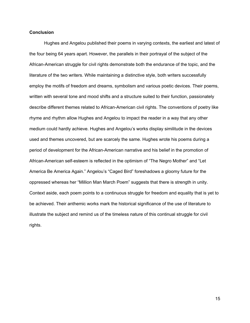#### **Conclusion**

Hughes and Angelou published their poems in varying contexts, the earliest and latest of the four being 64 years apart. However, the parallels in their portrayal of the subject of the African-American struggle for civil rights demonstrate both the endurance of the topic, and the literature of the two writers. While maintaining a distinctive style, both writers successfully employ the motifs of freedom and dreams, symbolism and various poetic devices. Their poems, written with several tone and mood shifts and a structure suited to their function, passionately describe different themes related to African-American civil rights. The conventions of poetry like rhyme and rhythm allow Hughes and Angelou to impact the reader in a way that any other medium could hardly achieve. Hughes and Angelou's works display similitude in the devices used and themes uncovered, but are scarcely the same. Hughes wrote his poems during a period of development for the African-American narrative and his belief in the promotion of African-American self-esteem is reflected in the optimism of "The Negro Mother" and "Let America Be America Again." Angelou's "Caged Bird" foreshadows a gloomy future for the oppressed whereas her "Million Man March Poem" suggests that there is strength in unity. Context aside, each poem points to a continuous struggle for freedom and equality that is yet to be achieved. Their anthemic works mark the historical significance of the use of literature to illustrate the subject and remind us of the timeless nature of this continual struggle for civil rights.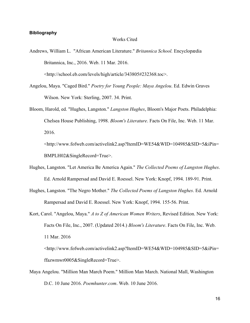## **Bibliography**

#### Works Cited

Andrews, William L. "African American Literature." *Britannica School.* Encyclopædia Britannica, Inc., 2016. Web. 11 Mar. 2016.

<<http://school.eb.com/levels/high/article/343805#232368.toc>>.

- Angelou, Maya. "Caged Bird." *Poetry for Young People: Maya Angelou*. Ed. Edwin Graves Wilson. New York: Sterling, 2007. 34. Print.
- Bloom, Harold, ed. "Hughes, Langston." *Langston Hughes*, Bloom's Major Poets. Philadelphia: Chelsea House Publishing, 1998. *Bloom's Literature*. Facts On File, Inc. Web. 11 Mar. 2016.

<[http://www.fofweb.com/activelink2.asp?ItemID=WE54&WID=104985&SID=5&iPin=](http://www.fofweb.com/activelink2.asp?ItemID=WE54&WID=104985&SID=5&iPin=BMPLH02&SingleRecord=True) [BMPLH02&SingleRecord=True>](http://www.fofweb.com/activelink2.asp?ItemID=WE54&WID=104985&SID=5&iPin=BMPLH02&SingleRecord=True).

- Hughes, Langston. "Let America Be America Again." *The Collected Poems of Langston Hughes*. Ed. Arnold Rampersad and David E. Roessel. New York: Knopf, 1994. 18991. Print.
- Hughes, Langston. "The Negro Mother." *The Collected Poems of Langston Hughes*. Ed. Arnold Rampersad and David E. Roessel. New York: Knopf, 1994. 155-56. Print.
- Kort, Carol. "Angelou, Maya." *A to Z of American Women Writers*, Revised Edition. New York: Facts On File, Inc., 2007. (Updated 2014.) *Bloom's Literature*. Facts On File, Inc. Web. 11 Mar. 2016 <[http://www.fofweb.com/activelink2.asp?ItemID=WE54&WID=104985&SID=5&iPin=](http://www.fofweb.com/activelink2.asp?ItemID=WE54&WID=104985&SID=5&iPin=ffazwmwr0005&SingleRecord=True)

[ffazwmwr0005&SingleRecord=True>](http://www.fofweb.com/activelink2.asp?ItemID=WE54&WID=104985&SID=5&iPin=ffazwmwr0005&SingleRecord=True).

Maya Angelou. "Million Man March Poem." Million Man March. National Mall, Washington D.C. 10 June 2016. *Poemhunter.com*. Web. 10 June 2016.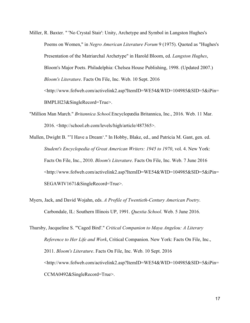- Miller, R. Baxter. " 'No Crystal Stair': Unity, Archetype and Symbol in Langston Hughes's Poems on Women," in *Negro American Literature Forum* 9 (1975). Quoted as "Hughes's Presentation of the Matriarchal Archetype" in Harold Bloom, ed. *Langston Hughes*, Bloom's Major Poets. Philadelphia: Chelsea House Publishing, 1998. (Updated 2007.) *Bloom's Literature*. Facts On File, Inc. Web. 10 Sept. 2016 <http://www.fofweb.com/activelink2.asp?ItemID=WE54&WID=104985&SID=5&iPin= BMPLH23&SingleRecord=True>.
- "Million Man March." *Britannica School.*Encyclopædia Britannica, Inc., 2016. Web. 11 Mar. 2016. <[http://school.eb.com/levels/high/article/487365>](http://school.eb.com/levels/high/article/487365).
- Mullen, Dwight B. "'I Have a Dream'." In Hobby, Blake, ed., and Patricia M. Gant, gen. ed. *Student's Encyclopedia of Great American Writers: 1945 to 1970*, vol. 4. New York: Facts On File, Inc., 2010. *Bloom's Literature*. Facts On File, Inc. Web. 7 June 2016 <http://www.fofweb.com/activelink2.asp?ItemID=WE54&WID=104985&SID=5&iPin= SEGAWIV1671&SingleRecord=True>.
- Myers, Jack, and David Wojahn, eds. *A Profile of Twentieth-Century American Poetry*. Carbondale, IL: Southern Illinois UP, 1991. *Questia School*. Web. 5 June 2016.
- Thursby, Jacqueline S. "'Caged Bird'." *Critical Companion to Maya Angelou: A Literary Reference to Her Life and Work*, Critical Companion. New York: Facts On File, Inc., 2011. *Bloom's Literature*. Facts On File, Inc. Web. 10 Sept. 2016 <http://www.fofweb.com/activelink2.asp?ItemID=WE54&WID=104985&SID=5&iPin= CCMA0492&SingleRecord=True>.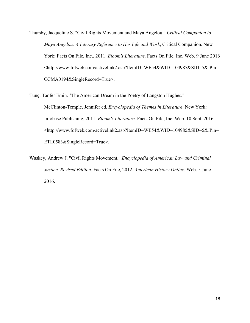Thursby, Jacqueline S. "Civil Rights Movement and Maya Angelou." *Critical Companion to Maya Angelou: A Literary Reference to Her Life and Work*, Critical Companion. New York: Facts On File, Inc., 2011. *Bloom's Literature*. Facts On File, Inc. Web. 9 June 2016 <[http://www.fofweb.com/activelink2.asp?ItemID=WE54&WID=104985&SID=5&iPin=](http://www.fofweb.com/activelink2.asp?ItemID=WE54&WID=104985&SID=5&iPin=CCMA0194&SingleRecord=True) [CCMA0194&SingleRecord=True>](http://www.fofweb.com/activelink2.asp?ItemID=WE54&WID=104985&SID=5&iPin=CCMA0194&SingleRecord=True).

Tunç, Tanfer Emin. "The American Dream in the Poetry of Langston Hughes." McClinton-Temple, Jennifer ed. *Encyclopedia of Themes in Literature*. New York: Infobase Publishing, 2011. *Bloom's Literature*. Facts On File, Inc. Web. 10 Sept. 2016 <http://www.fofweb.com/activelink2.asp?ItemID=WE54&WID=104985&SID=5&iPin= ETL0583&SingleRecord=True>.

Waskey, Andrew J. "Civil Rights Movement." *Encyclopedia of American Law and Criminal Justice, Revised Edition*. Facts On File, 2012. *American History Online*. Web. 5 June 2016.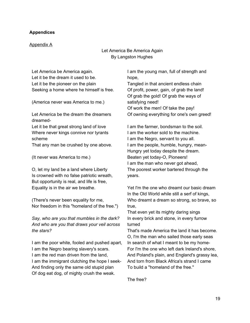## **Appendices**

## Appendix A

# Let America Be America Again By Langston Hughes

Let America be America again. Let it be the dream it used to be. Let it be the pioneer on the plain Seeking a home where he himself is free.

(America never was America to me.)

Let America be the dream the dreamers dreamed-

Let it be that great strong land of love Where never kings connive nor tyrants scheme

That any man be crushed by one above.

(It never was America to me.)

O, let my land be a land where Liberty Is crowned with no false patriotic wreath, But opportunity is real, and life is free, Equality is in the air we breathe.

(There's never been equality for me, Nor freedom in this "homeland of the free.")

*Say, who are you that mumbles in the dark? And who are you that draws your veil across the stars?*

I am the poor white, fooled and pushed apart, I am the Negro bearing slavery's scars. I am the red man driven from the land, I am the immigrant clutching the hope I seek-And finding only the same old stupid plan Of dog eat dog, of mighty crush the weak.

I am the young man, full of strength and hope,

Tangled in that ancient endless chain Of profit, power, gain, of grab the land! Of grab the gold! Of grab the ways of satisfying need! Of work the men! Of take the pay! Of owning everything for one's own greed!

I am the farmer, bondsman to the soil. I am the worker sold to the machine. I am the Negro, servant to you all. I am the people, humble, hungry, mean-Hungry yet today despite the dream. Beaten yet today-O, Pioneers! I am the man who never got ahead, The poorest worker bartered through the years.

Yet I'm the one who dreamt our basic dream In the Old World while still a serf of kings, Who dreamt a dream so strong, so brave, so true,

That even yet its mighty daring sings In every brick and stone, in every furrow turned

That's made America the land it has become. O, I'm the man who sailed those early seas In search of what I meant to be my home-For I'm the one who left dark Ireland's shore, And Poland's plain, and England's grassy lea, And torn from Black Africa's strand I came To build a "homeland of the free."

The free?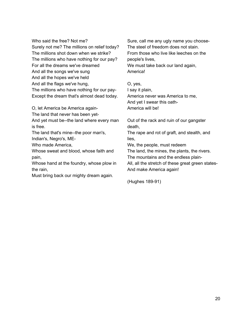Who said the free? Not me? Surely not me? The millions on relief today? The millions shot down when we strike? The millions who have nothing for our pay? For all the dreams we've dreamed And all the songs we've sung And all the hopes we've held And all the flags we've hung, The millions who have nothing for our pay-Except the dream that's almost dead today.

O, let America be America again-

The land that never has been yet-

And yet must be--the land where every man is free.

The land that's mine--the poor man's, Indian's, Negro's, ME-

Who made America,

Whose sweat and blood, whose faith and pain,

Whose hand at the foundry, whose plow in the rain,

Must bring back our mighty dream again.

Sure, call me any ugly name you choose-The steel of freedom does not stain. From those who live like leeches on the people's lives, We must take back our land again, America!

O, yes, I say it plain, America never was America to me, And yet I swear this oath-America will be!

Out of the rack and ruin of our gangster death, The rape and rot of graft, and stealth, and lies, We, the people, must redeem The land, the mines, the plants, the rivers. The mountains and the endless plain-All, all the stretch of these great green states-And make America again!

(Hughes 189-91)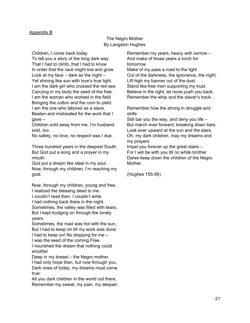## Appendix B

# The Negro Mother By Langston Hughes

Children, I come back today

To tell you a story of the long dark way That I had to climb, that I had to know In order that the race might live and grow. Look at my face  $-$  dark as the night  $-$ Yet shining like sun with love's true light. I am the dark girl who crossed the red sea Carrying in my body the seed of the free. I am the woman who worked in the field Bringing the cotton and the corn to yield. I am the one who labored as a slave, Beaten and mistreated for the work that I gave –

Children sold away from me, I'm husband sold, too.

No safety, no love, no respect was I due.

Three hundred years in the deepest South: But God put a song and a prayer in my mouth.

God put a dream like steel in my soul. Now, through my children, I'm reaching my goal.

Now, through my children, young and free, I realized the blessing deed to me. I couldn't read then. I couldn't write. I had nothing back there in the night. Sometimes, the valley was filled with tears, But I kept trudging on through the lonely years.

Sometimes, the road was hot with the sun, But I had to keep on till my work was done: I had to keep on! No stopping for me –

I was the seed of the coming Free. I nourished the dream that nothing could smother

Deep in my breast – the Negro mother. I had only hope then, but now through you, Dark ones of today, my dreams must come true:

All you dark children in the world out there, Remember my sweat, my pain, my despair.

Remember my years, heavy with sorrow – And make of those years a torch for tomorrow.

Make of my pass a road to the light Out of the darkness, the ignorance, the night. Lift high my banner out of the dust. Stand like free men supporting my trust.

Believe in the right, let none push you back. Remember the whip and the slaver's track.

Remember how the strong in struggle and strife

Still bar you the way, and deny you life – But march ever forward, breaking down bars. Look ever upward at the sun and the stars. Oh, my dark children, may my dreams and my prayers

Impel you forever up the great stairs – For I will be with you till no white brother Dares keep down the children of the Negro Mother.

(Hughes 155-56)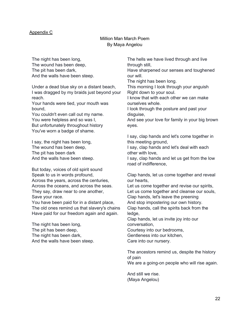## Appendix C

# Million Man March Poem By Maya Angelou

The night has been long, The wound has been deep, The pit has been dark, And the walls have been steep.

Under a dead blue sky on a distant beach, I was dragged by my braids just beyond your reach.

Your hands were tied, your mouth was bound,

You couldn't even call out my name. You were helpless and so was I, But unfortunately throughout history You've worn a badge of shame.

I say, the night has been long, The wound has been deep, The pit has been dark And the walls have been steep.

But today, voices of old spirit sound Speak to us in words profound, Across the years, across the centuries, Across the oceans, and across the seas. They say, draw near to one another, Save your race. You have been paid for in a distant place,

The old ones remind us that slavery's chains Have paid for our freedom again and again.

The night has been long, The pit has been deep, The night has been dark, And the walls have been steep. The hells we have lived through and live through still,

Have sharpened our senses and toughened our will.

The night has been long.

This morning I look through your anguish Right down to your soul.

I know that with each other we can make ourselves whole.

I look through the posture and past your disguise,

And see your love for family in your big brown eyes.

I say, clap hands and let's come together in this meeting ground,

I say, clap hands and let's deal with each other with love,

I say, clap hands and let us get from the low road of indifference,

Clap hands, let us come together and reveal our hearts,

Let us come together and revise our spirits, Let us come together and cleanse our souls, Clap hands, let's leave the preening And stop impostering our own history. Clap hands, call the spirits back from the ledge,

Clap hands, let us invite joy into our conversation,

Courtesy into our bedrooms, Gentleness into our kitchen,

Care into our nursery.

The ancestors remind us, despite the history of pain We are a going-on people who will rise again.

And still we rise. (Maya Angelou)